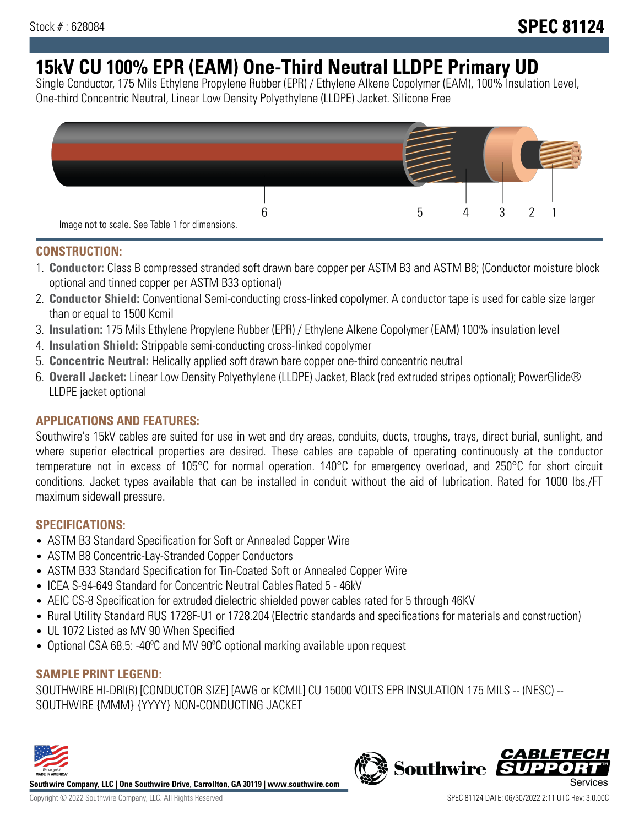# **15kV CU 100% EPR (EAM) One-Third Neutral LLDPE Primary UD**

Single Conductor, 175 Mils Ethylene Propylene Rubber (EPR) / Ethylene Alkene Copolymer (EAM), 100% Insulation Level, One-third Concentric Neutral, Linear Low Density Polyethylene (LLDPE) Jacket. Silicone Free



### **CONSTRUCTION:**

- 1. **Conductor:** Class B compressed stranded soft drawn bare copper per ASTM B3 and ASTM B8; (Conductor moisture block optional and tinned copper per ASTM B33 optional)
- 2. **Conductor Shield:** Conventional Semi-conducting cross-linked copolymer. A conductor tape is used for cable size larger than or equal to 1500 Kcmil
- 3. **Insulation:** 175 Mils Ethylene Propylene Rubber (EPR) / Ethylene Alkene Copolymer (EAM) 100% insulation level
- 4. **Insulation Shield:** Strippable semi-conducting cross-linked copolymer
- 5. **Concentric Neutral:** Helically applied soft drawn bare copper one-third concentric neutral
- 6. **Overall Jacket:** Linear Low Density Polyethylene (LLDPE) Jacket, Black (red extruded stripes optional); PowerGlide® LLDPE jacket optional

### **APPLICATIONS AND FEATURES:**

Southwire's 15kV cables are suited for use in wet and dry areas, conduits, ducts, troughs, trays, direct burial, sunlight, and where superior electrical properties are desired. These cables are capable of operating continuously at the conductor temperature not in excess of 105°C for normal operation. 140°C for emergency overload, and 250°C for short circuit conditions. Jacket types available that can be installed in conduit without the aid of lubrication. Rated for 1000 lbs./FT maximum sidewall pressure.

### **SPECIFICATIONS:**

- ASTM B3 Standard Specification for Soft or Annealed Copper Wire
- ASTM B8 Concentric-Lay-Stranded Copper Conductors
- ASTM B33 Standard Specification for Tin-Coated Soft or Annealed Copper Wire
- ICEA S-94-649 Standard for Concentric Neutral Cables Rated 5 46kV
- AEIC CS-8 Specification for extruded dielectric shielded power cables rated for 5 through 46KV
- Rural Utility Standard RUS 1728F-U1 or 1728.204 (Electric standards and specifications for materials and construction)
- UL 1072 Listed as MV 90 When Specified
- Optional CSA 68.5: -40°C and MV 90°C optional marking available upon request

## **SAMPLE PRINT LEGEND:**

SOUTHWIRE HI-DRI(R) [CONDUCTOR SIZE] [AWG or KCMIL] CU 15000 VOLTS EPR INSULATION 175 MILS -- (NESC) -- SOUTHWIRE {MMM} {YYYY} NON-CONDUCTING JACKET



**Southwire Company, LLC | One Southwire Drive, Carrollton, GA 30119 | www.southwire.com**